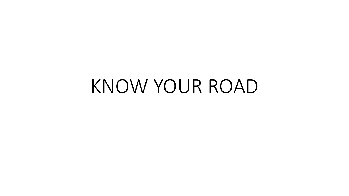# KNOW YOUR ROAD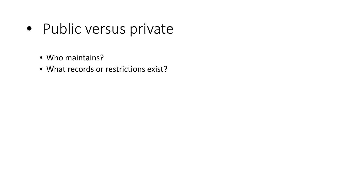- Public versus private
	- Who maintains?
	- What records or restrictions exist?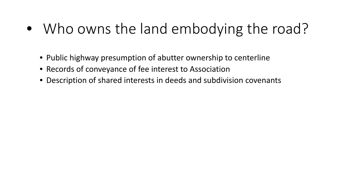### • Who owns the land embodying the road?

- Public highway presumption of abutter ownership to centerline
- Records of conveyance of fee interest to Association
- Description of shared interests in deeds and subdivision covenants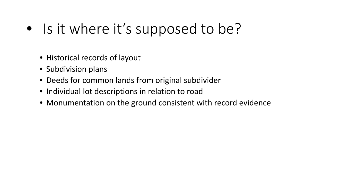### • Is it where it's supposed to be?

- Historical records of layout
- Subdivision plans
- Deeds for common lands from original subdivider
- Individual lot descriptions in relation to road
- Monumentation on the ground consistent with record evidence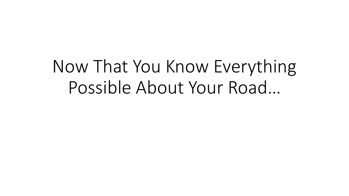## Now That You Know Everything Possible About Your Road…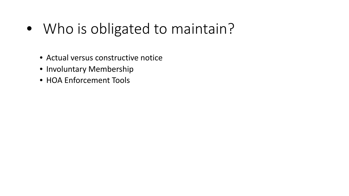- Who is obligated to maintain?
	- Actual versus constructive notice
	- Involuntary Membership
	- HOA Enforcement Tools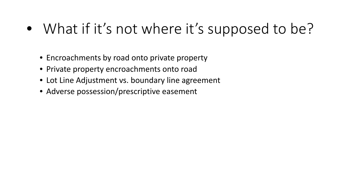### • What if it's not where it's supposed to be?

- Encroachments by road onto private property
- Private property encroachments onto road
- Lot Line Adjustment vs. boundary line agreement
- Adverse possession/prescriptive easement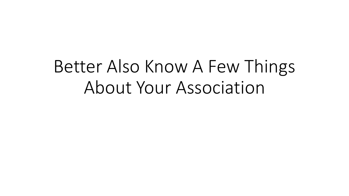## Better Also Know A Few Things About Your Association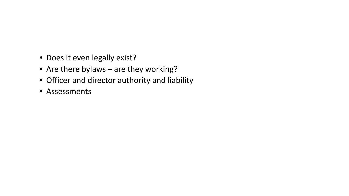- Does it even legally exist?
- Are there bylaws are they working?
- Officer and director authority and liability
- Assessments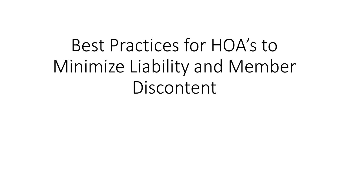# Best Practices for HOA's to Minimize Liability and Member Discontent